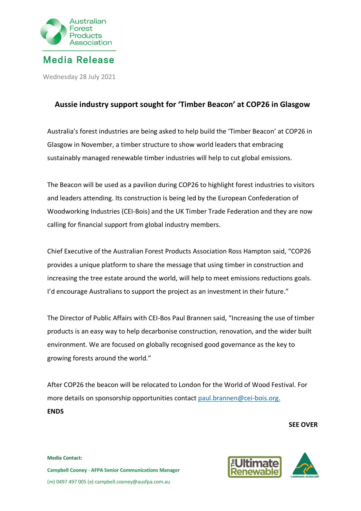

Wednesday 28 July 2021

## **Aussie industry support sought for 'Timber Beacon' at COP26 in Glasgow**

Australia's forest industries are being asked to help build the 'Timber Beacon' at COP26 in Glasgow in November, a timber structure to show world leaders that embracing sustainably managed renewable timber industries will help to cut global emissions.

The Beacon will be used as a pavilion during COP26 to highlight forest industries to visitors and leaders attending. Its construction is being led by the European Confederation of Woodworking Industries (CEI-Bois) and the UK Timber Trade Federation and they are now calling for financial support from global industry members.

Chief Executive of the Australian Forest Products Association Ross Hampton said, "COP26 provides a unique platform to share the message that using timber in construction and increasing the tree estate around the world, will help to meet emissions reductions goals. I'd encourage Australians to support the project as an investment in their future."

The Director of Public Affairs with CEI-Bos Paul Brannen said, "Increasing the use of timber products is an easy way to help decarbonise construction, renovation, and the wider built environment. We are focused on globally recognised good governance as the key to growing forests around the world."

After COP26 the beacon will be relocated to London for the World of Wood Festival. For more details on sponsorship opportunities contact [paul.brannen@cei-bois.org.](mailto:paul.brannen@cei-bois.org.See) **ENDS**

**SEE OVER**





**Media Contact: Campbell Cooney** - **AFPA Senior Communications Manager** (m) 0497 497 005 (e) campbell.cooney@ausfpa.com.au